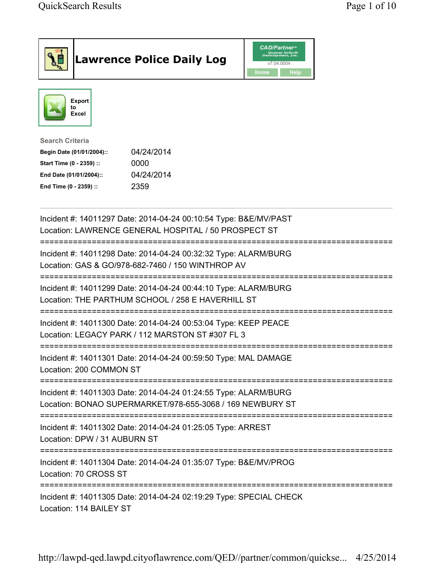|                                                                                                                                      | <b>Lawrence Police Daily Log</b>                                                                                             | <b>CAD/Partner</b> "<br>Queues Enforth<br>Development, Inc.<br>v7.04.0004<br>Home<br><b>Help</b> |  |
|--------------------------------------------------------------------------------------------------------------------------------------|------------------------------------------------------------------------------------------------------------------------------|--------------------------------------------------------------------------------------------------|--|
| <b>Export</b><br>to<br><b>Excel</b>                                                                                                  |                                                                                                                              |                                                                                                  |  |
| <b>Search Criteria</b><br>Begin Date (01/01/2004)::<br>Start Time (0 - 2359) ::<br>End Date (01/01/2004)::<br>End Time (0 - 2359) :: | 04/24/2014<br>0000<br>04/24/2014<br>2359                                                                                     |                                                                                                  |  |
|                                                                                                                                      | Incident #: 14011297 Date: 2014-04-24 00:10:54 Type: B&E/MV/PAST<br>Location: LAWRENCE GENERAL HOSPITAL / 50 PROSPECT ST     |                                                                                                  |  |
|                                                                                                                                      | Incident #: 14011298 Date: 2014-04-24 00:32:32 Type: ALARM/BURG<br>Location: GAS & GO/978-682-7460 / 150 WINTHROP AV         |                                                                                                  |  |
|                                                                                                                                      | Incident #: 14011299 Date: 2014-04-24 00:44:10 Type: ALARM/BURG<br>Location: THE PARTHUM SCHOOL / 258 E HAVERHILL ST         |                                                                                                  |  |
|                                                                                                                                      | Incident #: 14011300 Date: 2014-04-24 00:53:04 Type: KEEP PEACE<br>Location: LEGACY PARK / 112 MARSTON ST #307 FL 3          |                                                                                                  |  |
| Location: 200 COMMON ST                                                                                                              | Incident #: 14011301 Date: 2014-04-24 00:59:50 Type: MAL DAMAGE                                                              |                                                                                                  |  |
|                                                                                                                                      | Incident #: 14011303 Date: 2014-04-24 01:24:55 Type: ALARM/BURG<br>Location: BONAO SUPERMARKET/978-655-3068 / 169 NEWBURY ST |                                                                                                  |  |
| Location: DPW / 31 AUBURN ST                                                                                                         | Incident #: 14011302 Date: 2014-04-24 01:25:05 Type: ARREST                                                                  |                                                                                                  |  |
| Location: 70 CROSS ST                                                                                                                | Incident #: 14011304 Date: 2014-04-24 01:35:07 Type: B&E/MV/PROG                                                             |                                                                                                  |  |
| Location: 114 BAILEY ST                                                                                                              | Incident #: 14011305 Date: 2014-04-24 02:19:29 Type: SPECIAL CHECK                                                           |                                                                                                  |  |

http://lawpd-qed.lawpd.cityoflawrence.com/QED//partner/common/quickse... 4/25/2014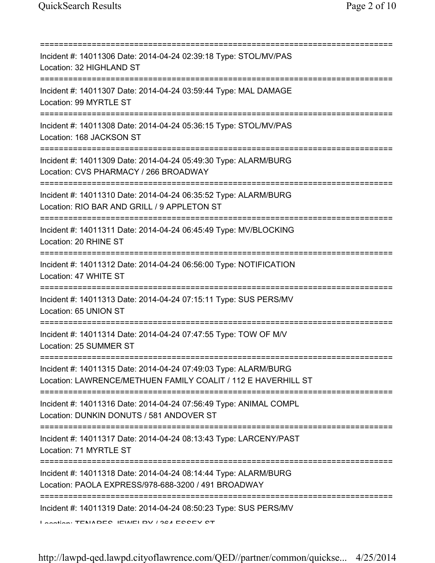| Incident #: 14011306 Date: 2014-04-24 02:39:18 Type: STOL/MV/PAS<br>Location: 32 HIGHLAND ST                                                            |
|---------------------------------------------------------------------------------------------------------------------------------------------------------|
| Incident #: 14011307 Date: 2014-04-24 03:59:44 Type: MAL DAMAGE<br>Location: 99 MYRTLE ST                                                               |
| Incident #: 14011308 Date: 2014-04-24 05:36:15 Type: STOL/MV/PAS<br>Location: 168 JACKSON ST                                                            |
| Incident #: 14011309 Date: 2014-04-24 05:49:30 Type: ALARM/BURG<br>Location: CVS PHARMACY / 266 BROADWAY                                                |
| Incident #: 14011310 Date: 2014-04-24 06:35:52 Type: ALARM/BURG<br>Location: RIO BAR AND GRILL / 9 APPLETON ST                                          |
| Incident #: 14011311 Date: 2014-04-24 06:45:49 Type: MV/BLOCKING<br>Location: 20 RHINE ST                                                               |
| Incident #: 14011312 Date: 2014-04-24 06:56:00 Type: NOTIFICATION<br>Location: 47 WHITE ST                                                              |
| Incident #: 14011313 Date: 2014-04-24 07:15:11 Type: SUS PERS/MV<br>Location: 65 UNION ST                                                               |
| Incident #: 14011314 Date: 2014-04-24 07:47:55 Type: TOW OF M/V<br>Location: 25 SUMMER ST                                                               |
| Incident #: 14011315 Date: 2014-04-24 07:49:03 Type: ALARM/BURG<br>Location: LAWRENCE/METHUEN FAMILY COALIT / 112 E HAVERHILL ST                        |
| Incident #: 14011316 Date: 2014-04-24 07:56:49 Type: ANIMAL COMPL<br>Location: DUNKIN DONUTS / 581 ANDOVER ST<br>;===================================== |
| Incident #: 14011317 Date: 2014-04-24 08:13:43 Type: LARCENY/PAST<br>Location: 71 MYRTLE ST                                                             |
| Incident #: 14011318 Date: 2014-04-24 08:14:44 Type: ALARM/BURG<br>Location: PAOLA EXPRESS/978-688-3200 / 491 BROADWAY                                  |
| -------------<br>Incident #: 14011319 Date: 2014-04-24 08:50:23 Type: SUS PERS/MV<br>Location: TENIADEC IEMEI DV / 904 ECCEV CT                         |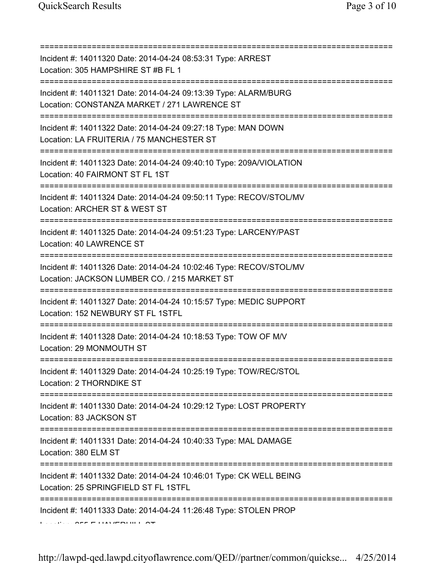| Incident #: 14011320 Date: 2014-04-24 08:53:31 Type: ARREST<br>Location: 305 HAMPSHIRE ST #B FL 1<br>;=================================== |
|-------------------------------------------------------------------------------------------------------------------------------------------|
| Incident #: 14011321 Date: 2014-04-24 09:13:39 Type: ALARM/BURG<br>Location: CONSTANZA MARKET / 271 LAWRENCE ST                           |
| Incident #: 14011322 Date: 2014-04-24 09:27:18 Type: MAN DOWN<br>Location: LA FRUITERIA / 75 MANCHESTER ST                                |
| Incident #: 14011323 Date: 2014-04-24 09:40:10 Type: 209A/VIOLATION<br>Location: 40 FAIRMONT ST FL 1ST                                    |
| Incident #: 14011324 Date: 2014-04-24 09:50:11 Type: RECOV/STOL/MV<br>Location: ARCHER ST & WEST ST                                       |
| Incident #: 14011325 Date: 2014-04-24 09:51:23 Type: LARCENY/PAST<br>Location: 40 LAWRENCE ST                                             |
| Incident #: 14011326 Date: 2014-04-24 10:02:46 Type: RECOV/STOL/MV<br>Location: JACKSON LUMBER CO. / 215 MARKET ST                        |
| :=======================<br>Incident #: 14011327 Date: 2014-04-24 10:15:57 Type: MEDIC SUPPORT<br>Location: 152 NEWBURY ST FL 1STFL       |
| Incident #: 14011328 Date: 2014-04-24 10:18:53 Type: TOW OF M/V<br>Location: 29 MONMOUTH ST                                               |
| Incident #: 14011329 Date: 2014-04-24 10:25:19 Type: TOW/REC/STOL<br>Location: 2 THORNDIKE ST                                             |
| Incident #: 14011330 Date: 2014-04-24 10:29:12 Type: LOST PROPERTY<br>Location: 83 JACKSON ST                                             |
| Incident #: 14011331 Date: 2014-04-24 10:40:33 Type: MAL DAMAGE<br>Location: 380 ELM ST                                                   |
| Incident #: 14011332 Date: 2014-04-24 10:46:01 Type: CK WELL BEING<br>Location: 25 SPRINGFIELD ST FL 1STFL                                |
| Incident #: 14011333 Date: 2014-04-24 11:26:48 Type: STOLEN PROP                                                                          |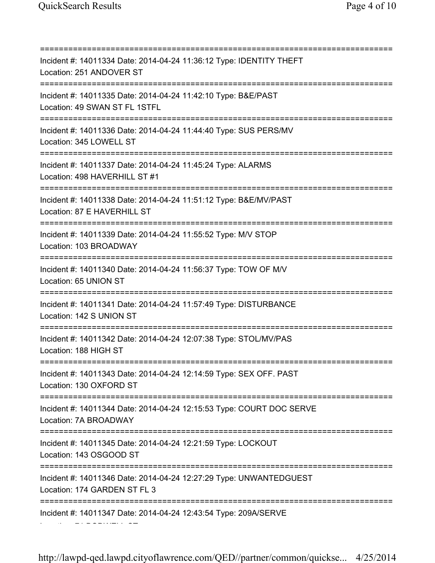=========================================================================== Incident #: 14011334 Date: 2014-04-24 11:36:12 Type: IDENTITY THEFT Location: 251 ANDOVER ST =========================================================================== Incident #: 14011335 Date: 2014-04-24 11:42:10 Type: B&E/PAST Location: 49 SWAN ST FL 1STFL =========================================================================== Incident #: 14011336 Date: 2014-04-24 11:44:40 Type: SUS PERS/MV Location: 345 LOWELL ST =========================================================================== Incident #: 14011337 Date: 2014-04-24 11:45:24 Type: ALARMS Location: 498 HAVERHILL ST #1 =========================================================================== Incident #: 14011338 Date: 2014-04-24 11:51:12 Type: B&E/MV/PAST Location: 87 E HAVERHILL ST =========================================================================== Incident #: 14011339 Date: 2014-04-24 11:55:52 Type: M/V STOP Location: 103 BROADWAY =========================================================================== Incident #: 14011340 Date: 2014-04-24 11:56:37 Type: TOW OF M/V Location: 65 UNION ST =========================================================================== Incident #: 14011341 Date: 2014-04-24 11:57:49 Type: DISTURBANCE Location: 142 S UNION ST =========================================================================== Incident #: 14011342 Date: 2014-04-24 12:07:38 Type: STOL/MV/PAS Location: 188 HIGH ST =========================================================================== Incident #: 14011343 Date: 2014-04-24 12:14:59 Type: SEX OFF. PAST Location: 130 OXFORD ST =========================================================================== Incident #: 14011344 Date: 2014-04-24 12:15:53 Type: COURT DOC SERVE Location: 7A BROADWAY =========================================================================== Incident #: 14011345 Date: 2014-04-24 12:21:59 Type: LOCKOUT Location: 143 OSGOOD ST =========================================================================== Incident #: 14011346 Date: 2014-04-24 12:27:29 Type: UNWANTEDGUEST Location: 174 GARDEN ST FL 3 =========================================================================== Incident #: 14011347 Date: 2014-04-24 12:43:54 Type: 209A/SERVE Location: 71 BODWELL ST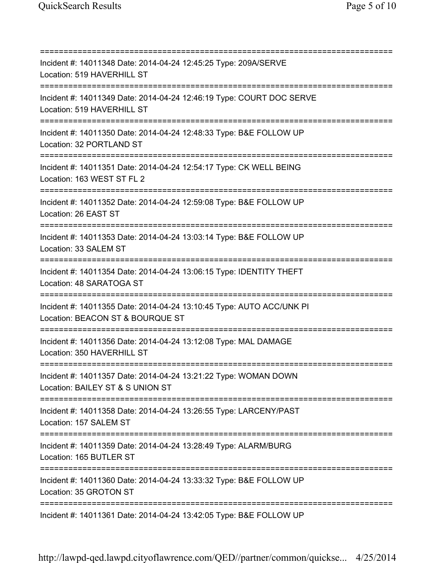=========================================================================== Incident #: 14011348 Date: 2014-04-24 12:45:25 Type: 209A/SERVE Location: 519 HAVERHILL ST =========================================================================== Incident #: 14011349 Date: 2014-04-24 12:46:19 Type: COURT DOC SERVE Location: 519 HAVERHILL ST =========================================================================== Incident #: 14011350 Date: 2014-04-24 12:48:33 Type: B&E FOLLOW UP Location: 32 PORTLAND ST =========================================================================== Incident #: 14011351 Date: 2014-04-24 12:54:17 Type: CK WELL BEING Location: 163 WEST ST FL 2 =========================================================================== Incident #: 14011352 Date: 2014-04-24 12:59:08 Type: B&E FOLLOW UP Location: 26 EAST ST =========================================================================== Incident #: 14011353 Date: 2014-04-24 13:03:14 Type: B&E FOLLOW UP Location: 33 SALEM ST =========================================================================== Incident #: 14011354 Date: 2014-04-24 13:06:15 Type: IDENTITY THEFT Location: 48 SARATOGA ST =========================================================================== Incident #: 14011355 Date: 2014-04-24 13:10:45 Type: AUTO ACC/UNK PI Location: BEACON ST & BOURQUE ST =========================================================================== Incident #: 14011356 Date: 2014-04-24 13:12:08 Type: MAL DAMAGE Location: 350 HAVERHILL ST =========================================================================== Incident #: 14011357 Date: 2014-04-24 13:21:22 Type: WOMAN DOWN Location: BAILEY ST & S UNION ST =========================================================================== Incident #: 14011358 Date: 2014-04-24 13:26:55 Type: LARCENY/PAST Location: 157 SALEM ST =========================================================================== Incident #: 14011359 Date: 2014-04-24 13:28:49 Type: ALARM/BURG Location: 165 BUTLER ST =========================================================================== Incident #: 14011360 Date: 2014-04-24 13:33:32 Type: B&E FOLLOW UP Location: 35 GROTON ST =========================================================================== Incident #: 14011361 Date: 2014-04-24 13:42:05 Type: B&E FOLLOW UP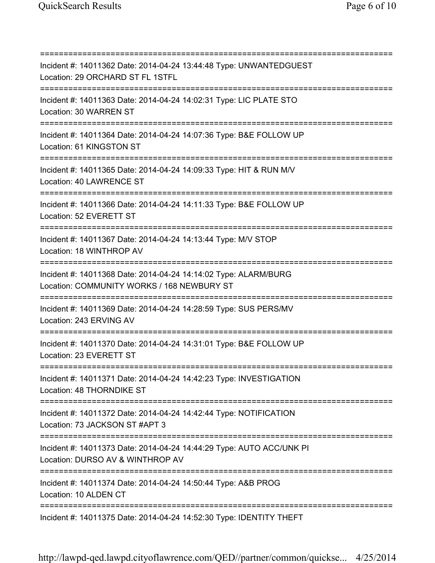=========================================================================== Incident #: 14011362 Date: 2014-04-24 13:44:48 Type: UNWANTEDGUEST Location: 29 ORCHARD ST FL 1STFL =========================================================================== Incident #: 14011363 Date: 2014-04-24 14:02:31 Type: LIC PLATE STO Location: 30 WARREN ST =========================================================================== Incident #: 14011364 Date: 2014-04-24 14:07:36 Type: B&E FOLLOW UP Location: 61 KINGSTON ST =========================================================================== Incident #: 14011365 Date: 2014-04-24 14:09:33 Type: HIT & RUN M/V Location: 40 LAWRENCE ST =========================================================================== Incident #: 14011366 Date: 2014-04-24 14:11:33 Type: B&E FOLLOW UP Location: 52 EVERETT ST =========================================================================== Incident #: 14011367 Date: 2014-04-24 14:13:44 Type: M/V STOP Location: 18 WINTHROP AV =========================================================================== Incident #: 14011368 Date: 2014-04-24 14:14:02 Type: ALARM/BURG Location: COMMUNITY WORKS / 168 NEWBURY ST =========================================================================== Incident #: 14011369 Date: 2014-04-24 14:28:59 Type: SUS PERS/MV Location: 243 ERVING AV =========================================================================== Incident #: 14011370 Date: 2014-04-24 14:31:01 Type: B&E FOLLOW UP Location: 23 EVERETT ST =========================================================================== Incident #: 14011371 Date: 2014-04-24 14:42:23 Type: INVESTIGATION Location: 48 THORNDIKE ST =========================================================================== Incident #: 14011372 Date: 2014-04-24 14:42:44 Type: NOTIFICATION Location: 73 JACKSON ST #APT 3 =========================================================================== Incident #: 14011373 Date: 2014-04-24 14:44:29 Type: AUTO ACC/UNK PI Location: DURSO AV & WINTHROP AV =========================================================================== Incident #: 14011374 Date: 2014-04-24 14:50:44 Type: A&B PROG Location: 10 ALDEN CT =========================================================================== Incident #: 14011375 Date: 2014-04-24 14:52:30 Type: IDENTITY THEFT

http://lawpd-qed.lawpd.cityoflawrence.com/QED//partner/common/quickse... 4/25/2014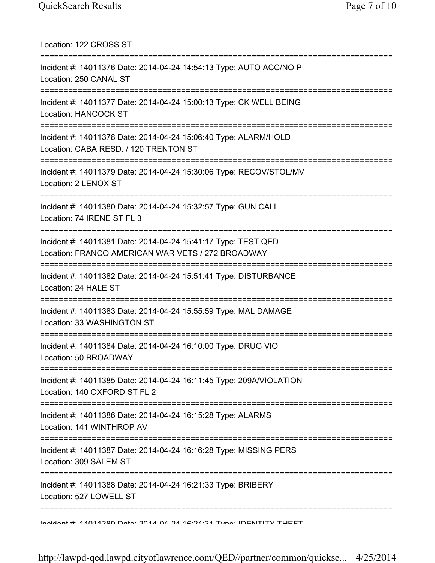| Location: 122 CROSS ST                                                                                                         |
|--------------------------------------------------------------------------------------------------------------------------------|
| Incident #: 14011376 Date: 2014-04-24 14:54:13 Type: AUTO ACC/NO PI<br>Location: 250 CANAL ST                                  |
| Incident #: 14011377 Date: 2014-04-24 15:00:13 Type: CK WELL BEING<br>Location: HANCOCK ST                                     |
| Incident #: 14011378 Date: 2014-04-24 15:06:40 Type: ALARM/HOLD<br>Location: CABA RESD. / 120 TRENTON ST                       |
| Incident #: 14011379 Date: 2014-04-24 15:30:06 Type: RECOV/STOL/MV<br>Location: 2 LENOX ST<br>================================ |
| Incident #: 14011380 Date: 2014-04-24 15:32:57 Type: GUN CALL<br>Location: 74 IRENE ST FL 3<br>------------------------------- |
| Incident #: 14011381 Date: 2014-04-24 15:41:17 Type: TEST QED<br>Location: FRANCO AMERICAN WAR VETS / 272 BROADWAY             |
| Incident #: 14011382 Date: 2014-04-24 15:51:41 Type: DISTURBANCE<br>Location: 24 HALE ST                                       |
| Incident #: 14011383 Date: 2014-04-24 15:55:59 Type: MAL DAMAGE<br>Location: 33 WASHINGTON ST                                  |
| Incident #: 14011384 Date: 2014-04-24 16:10:00 Type: DRUG VIO<br>Location: 50 BROADWAY                                         |
| Incident #: 14011385 Date: 2014-04-24 16:11:45 Type: 209A/VIOLATION<br>Location: 140 OXFORD ST FL 2                            |
| Incident #: 14011386 Date: 2014-04-24 16:15:28 Type: ALARMS<br>Location: 141 WINTHROP AV                                       |
| Incident #: 14011387 Date: 2014-04-24 16:16:28 Type: MISSING PERS<br>Location: 309 SALEM ST                                    |
| =========================<br>Incident #: 14011388 Date: 2014-04-24 16:21:33 Type: BRIBERY<br>Location: 527 LOWELL ST           |
| Indident # 4 44044900 Dotal OA 4 A 44 42.94.94 Tunes IDENITITV TUEET                                                           |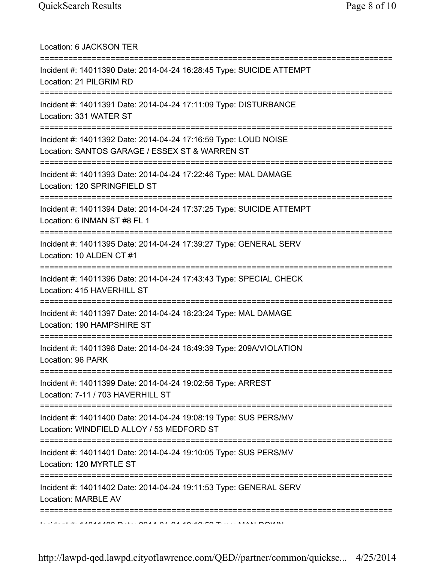| Location: 6 JACKSON TER<br>======================                                                                                       |
|-----------------------------------------------------------------------------------------------------------------------------------------|
| Incident #: 14011390 Date: 2014-04-24 16:28:45 Type: SUICIDE ATTEMPT<br>Location: 21 PILGRIM RD<br>==================================== |
| Incident #: 14011391 Date: 2014-04-24 17:11:09 Type: DISTURBANCE<br>Location: 331 WATER ST                                              |
| Incident #: 14011392 Date: 2014-04-24 17:16:59 Type: LOUD NOISE<br>Location: SANTOS GARAGE / ESSEX ST & WARREN ST                       |
| Incident #: 14011393 Date: 2014-04-24 17:22:46 Type: MAL DAMAGE<br>Location: 120 SPRINGFIELD ST                                         |
| Incident #: 14011394 Date: 2014-04-24 17:37:25 Type: SUICIDE ATTEMPT<br>Location: 6 INMAN ST #8 FL 1                                    |
| Incident #: 14011395 Date: 2014-04-24 17:39:27 Type: GENERAL SERV<br>Location: 10 ALDEN CT #1                                           |
| Incident #: 14011396 Date: 2014-04-24 17:43:43 Type: SPECIAL CHECK<br>Location: 415 HAVERHILL ST                                        |
| Incident #: 14011397 Date: 2014-04-24 18:23:24 Type: MAL DAMAGE<br>Location: 190 HAMPSHIRE ST                                           |
| Incident #: 14011398 Date: 2014-04-24 18:49:39 Type: 209A/VIOLATION<br>Location: 96 PARK                                                |
| :===============================<br>Incident #: 14011399 Date: 2014-04-24 19:02:56 Type: ARREST<br>Location: 7-11 / 703 HAVERHILL ST    |
| =================<br>Incident #: 14011400 Date: 2014-04-24 19:08:19 Type: SUS PERS/MV<br>Location: WINDFIELD ALLOY / 53 MEDFORD ST      |
| Incident #: 14011401 Date: 2014-04-24 19:10:05 Type: SUS PERS/MV<br>Location: 120 MYRTLE ST                                             |
| Incident #: 14011402 Date: 2014-04-24 19:11:53 Type: GENERAL SERV<br><b>Location: MARBLE AV</b>                                         |
|                                                                                                                                         |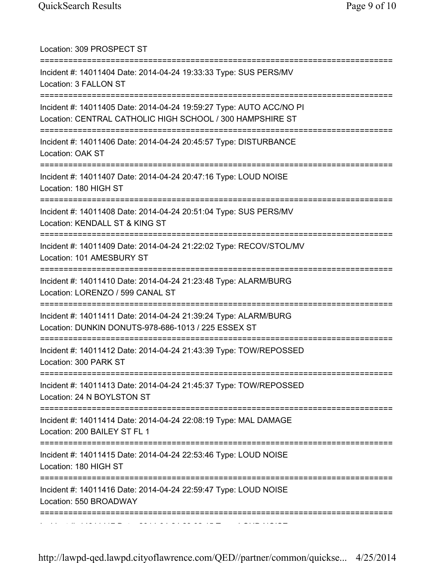| Location: 309 PROSPECT ST                                                                                                           |
|-------------------------------------------------------------------------------------------------------------------------------------|
| Incident #: 14011404 Date: 2014-04-24 19:33:33 Type: SUS PERS/MV<br>Location: 3 FALLON ST                                           |
| Incident #: 14011405 Date: 2014-04-24 19:59:27 Type: AUTO ACC/NO PI<br>Location: CENTRAL CATHOLIC HIGH SCHOOL / 300 HAMPSHIRE ST    |
| Incident #: 14011406 Date: 2014-04-24 20:45:57 Type: DISTURBANCE<br>Location: OAK ST                                                |
| Incident #: 14011407 Date: 2014-04-24 20:47:16 Type: LOUD NOISE<br>Location: 180 HIGH ST                                            |
| Incident #: 14011408 Date: 2014-04-24 20:51:04 Type: SUS PERS/MV<br>Location: KENDALL ST & KING ST<br>-----------------------       |
| Incident #: 14011409 Date: 2014-04-24 21:22:02 Type: RECOV/STOL/MV<br>Location: 101 AMESBURY ST                                     |
| Incident #: 14011410 Date: 2014-04-24 21:23:48 Type: ALARM/BURG<br>Location: LORENZO / 599 CANAL ST                                 |
| Incident #: 14011411 Date: 2014-04-24 21:39:24 Type: ALARM/BURG<br>Location: DUNKIN DONUTS-978-686-1013 / 225 ESSEX ST              |
| =====================================<br>Incident #: 14011412 Date: 2014-04-24 21:43:39 Type: TOW/REPOSSED<br>Location: 300 PARK ST |
| Incident #: 14011413 Date: 2014-04-24 21:45:37 Type: TOW/REPOSSED<br>Location: 24 N BOYLSTON ST                                     |
| Incident #: 14011414 Date: 2014-04-24 22:08:19 Type: MAL DAMAGE<br>Location: 200 BAILEY ST FL 1                                     |
| Incident #: 14011415 Date: 2014-04-24 22:53:46 Type: LOUD NOISE<br>Location: 180 HIGH ST                                            |
| Incident #: 14011416 Date: 2014-04-24 22:59:47 Type: LOUD NOISE<br>Location: 550 BROADWAY                                           |
|                                                                                                                                     |